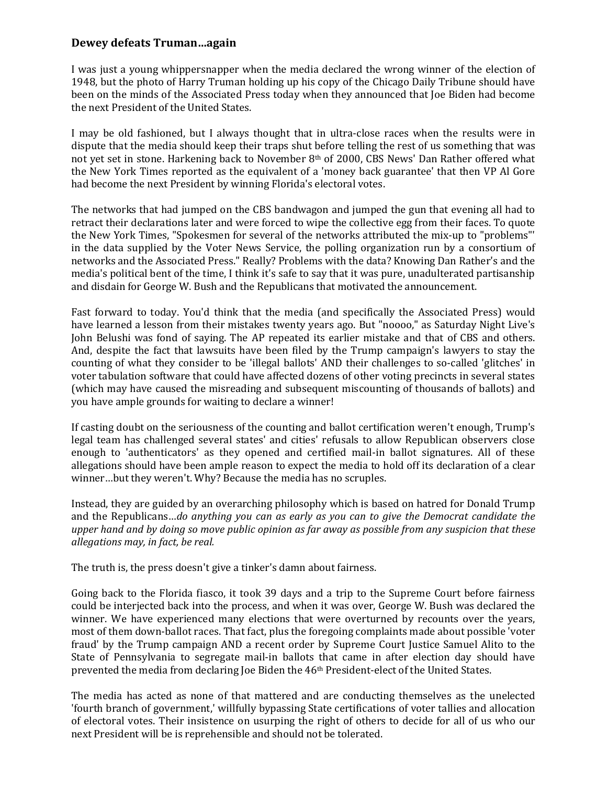## **Dewey defeats Truman…again**

I was just a young whippersnapper when the media declared the wrong winner of the election of 1948, but the photo of Harry Truman holding up his copy of the Chicago Daily Tribune should have been on the minds of the Associated Press today when they announced that Joe Biden had become the next President of the United States.

I may be old fashioned, but I always thought that in ultra-close races when the results were in dispute that the media should keep their traps shut before telling the rest of us something that was not yet set in stone. Harkening back to November 8th of 2000, CBS News' Dan Rather offered what the New York Times reported as the equivalent of a 'money back guarantee' that then VP Al Gore had become the next President by winning Florida's electoral votes.

The networks that had jumped on the CBS bandwagon and jumped the gun that evening all had to retract their declarations later and were forced to wipe the collective egg from their faces. To quote the New York Times, "Spokesmen for several of the networks attributed the mix-up to "problems"' in the data supplied by the Voter News Service, the polling organization run by a consortium of networks and the Associated Press." Really? Problems with the data? Knowing Dan Rather's and the media's political bent of the time, I think it's safe to say that it was pure, unadulterated partisanship and disdain for George W. Bush and the Republicans that motivated the announcement.

Fast forward to today. You'd think that the media (and specifically the Associated Press) would have learned a lesson from their mistakes twenty years ago. But "noooo," as Saturday Night Live's John Belushi was fond of saying. The AP repeated its earlier mistake and that of CBS and others. And, despite the fact that lawsuits have been filed by the Trump campaign's lawyers to stay the counting of what they consider to be 'illegal ballots' AND their challenges to so-called 'glitches' in voter tabulation software that could have affected dozens of other voting precincts in several states (which may have caused the misreading and subsequent miscounting of thousands of ballots) and you have ample grounds for waiting to declare a winner!

If casting doubt on the seriousness of the counting and ballot certification weren't enough, Trump's legal team has challenged several states' and cities' refusals to allow Republican observers close enough to 'authenticators' as they opened and certified mail-in ballot signatures. All of these allegations should have been ample reason to expect the media to hold off its declaration of a clear winner…but they weren't. Why? Because the media has no scruples.

Instead, they are guided by an overarching philosophy which is based on hatred for Donald Trump and the Republicans…*do anything you can as early as you can to give the Democrat candidate the upper hand and by doing so move public opinion as far away as possible from any suspicion that these allegations may, in fact, be real.*

The truth is, the press doesn't give a tinker's damn about fairness.

Going back to the Florida fiasco, it took 39 days and a trip to the Supreme Court before fairness could be interjected back into the process, and when it was over, George W. Bush was declared the winner. We have experienced many elections that were overturned by recounts over the years, most of them down-ballot races. That fact, plus the foregoing complaints made about possible 'voter fraud' by the Trump campaign AND a recent order by Supreme Court Justice Samuel Alito to the State of Pennsylvania to segregate mail-in ballots that came in after election day should have prevented the media from declaring Joe Biden the 46th President-elect of the United States.

The media has acted as none of that mattered and are conducting themselves as the unelected 'fourth branch of government,' willfully bypassing State certifications of voter tallies and allocation of electoral votes. Their insistence on usurping the right of others to decide for all of us who our next President will be is reprehensible and should not be tolerated.